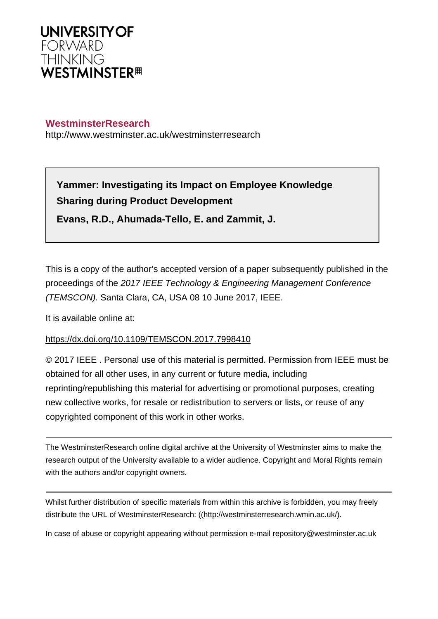

# **WestminsterResearch**

http://www.westminster.ac.uk/westminsterresearch

**Yammer: Investigating its Impact on Employee Knowledge Sharing during Product Development**

**Evans, R.D., Ahumada-Tello, E. and Zammit, J.**

This is a copy of the author's accepted version of a paper subsequently published in the proceedings of the 2017 IEEE Technology & Engineering Management Conference (TEMSCON). Santa Clara, CA, USA 08 10 June 2017, IEEE.

It is available online at:

# <https://dx.doi.org/10.1109/TEMSCON.2017.7998410>

© 2017 IEEE . Personal use of this material is permitted. Permission from IEEE must be obtained for all other uses, in any current or future media, including reprinting/republishing this material for advertising or promotional purposes, creating new collective works, for resale or redistribution to servers or lists, or reuse of any copyrighted component of this work in other works.

The WestminsterResearch online digital archive at the University of Westminster aims to make the research output of the University available to a wider audience. Copyright and Moral Rights remain with the authors and/or copyright owners.

Whilst further distribution of specific materials from within this archive is forbidden, you may freely distribute the URL of WestminsterResearch: [\(\(http://westminsterresearch.wmin.ac.uk/](http://westminsterresearch.wmin.ac.uk/)).

In case of abuse or copyright appearing without permission e-mail <repository@westminster.ac.uk>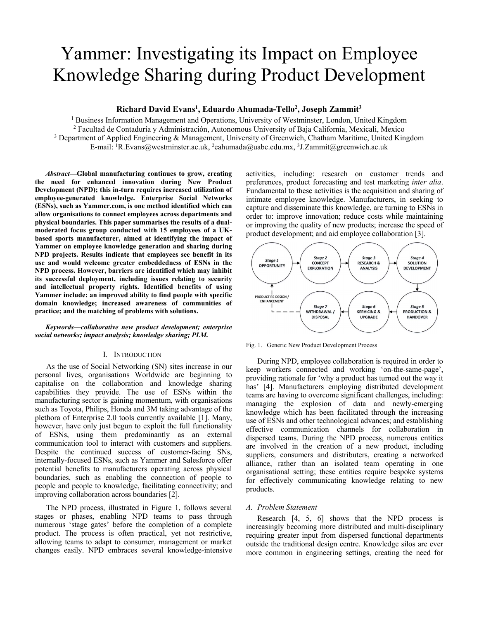# Yammer: Investigating its Impact on Employee Knowledge Sharing during Product Development

# **Richard David Evans1 , Eduardo Ahumada-Tello2 , Joseph Zammit3**

<sup>1</sup> Business Information Management and Operations, University of Westminster, London, United Kingdom <sup>2</sup> Facultad de Contaduría y Administración, Autonomous University of Baja California, Mexicali, Mexico <sup>3</sup> Department of Applied Engineering & Management University of Greenwich, Chatham Maritime, United Kin <sup>3</sup> Department of Applied Engineering & Management, University of Greenwich, Chatham Maritime, United Kingdom E-mail: <sup>1</sup>R.Evans@westminster.ac.uk, <sup>2</sup>eahumada@uabc.edu.mx, <sup>3</sup>J.Zammit@greenwich.ac.uk

*Abstract***—Global manufacturing continues to grow, creating the need for enhanced innovation during New Product Development (NPD); this in-turn requires increased utilization of employee-generated knowledge. Enterprise Social Networks (ESNs), such as Yammer.com, is one method identified which can allow organisations to connect employees across departments and physical boundaries. This paper summarises the results of a dualmoderated focus group conducted with 15 employees of a UKbased sports manufacturer, aimed at identifying the impact of Yammer on employee knowledge generation and sharing during NPD projects. Results indicate that employees see benefit in its use and would welcome greater embeddedness of ESNs in the NPD process. However, barriers are identified which may inhibit its successful deployment, including issues relating to security and intellectual property rights. Identified benefits of using Yammer include: an improved ability to find people with specific domain knowledge; increased awareness of communities of practice; and the matching of problems with solutions.**

#### *Keywords—collaborative new product development; enterprise social networks; impact analysis; knowledge sharing; PLM.*

#### I. INTRODUCTION

As the use of Social Networking (SN) sites increase in our personal lives, organisations Worldwide are beginning to capitalise on the collaboration and knowledge sharing capabilities they provide. The use of ESNs within the manufacturing sector is gaining momentum, with organisations such as Toyota, Philips, Honda and 3M taking advantage of the plethora of Enterprise 2.0 tools currently available [1]. Many, however, have only just begun to exploit the full functionality of ESNs, using them predominantly as an external communication tool to interact with customers and suppliers. Despite the continued success of customer-facing SNs, internally-focused ESNs, such as Yammer and Salesforce offer potential benefits to manufacturers operating across physical boundaries, such as enabling the connection of people to people and people to knowledge, facilitating connectivity; and improving collaboration across boundaries [2].

The NPD process, illustrated in Figure 1, follows several stages or phases, enabling NPD teams to pass through numerous 'stage gates' before the completion of a complete product. The process is often practical, yet not restrictive, allowing teams to adapt to consumer, management or market changes easily. NPD embraces several knowledge-intensive activities, including: research on customer trends and preferences, product forecasting and test marketing *inter alia*. Fundamental to these activities is the acquisition and sharing of intimate employee knowledge. Manufacturers, in seeking to capture and disseminate this knowledge, are turning to ESNs in order to: improve innovation; reduce costs while maintaining or improving the quality of new products; increase the speed of product development; and aid employee collaboration [3].



Fig. 1. Generic New Product Development Process

During NPD, employee collaboration is required in order to keep workers connected and working 'on-the-same-page', providing rationale for 'why a product has turned out the way it has' [4]. Manufacturers employing distributed development teams are having to overcome significant challenges, including: managing the explosion of data and newly-emerging knowledge which has been facilitated through the increasing use of ESNs and other technological advances; and establishing effective communication channels for collaboration in dispersed teams. During the NPD process, numerous entities are involved in the creation of a new product, including suppliers, consumers and distributers, creating a networked alliance, rather than an isolated team operating in one organisational setting; these entities require bespoke systems for effectively communicating knowledge relating to new products.

#### *A. Problem Statement*

Research [4, 5, 6] shows that the NPD process is increasingly becoming more distributed and multi-disciplinary requiring greater input from dispersed functional departments outside the traditional design centre. Knowledge silos are ever more common in engineering settings, creating the need for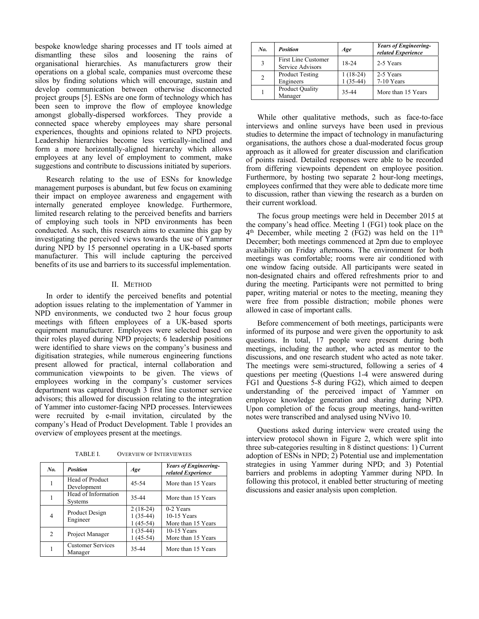bespoke knowledge sharing processes and IT tools aimed at dismantling these silos and loosening the rains of organisational hierarchies. As manufacturers grow their operations on a global scale, companies must overcome these silos by finding solutions which will encourage, sustain and develop communication between otherwise disconnected project groups [5]. ESNs are one form of technology which has been seen to improve the flow of employee knowledge amongst globally-dispersed workforces. They provide a connected space whereby employees may share personal experiences, thoughts and opinions related to NPD projects. Leadership hierarchies become less vertically-inclined and form a more horizontally-aligned hierarchy which allows employees at any level of employment to comment, make suggestions and contribute to discussions initiated by superiors.

Research relating to the use of ESNs for knowledge management purposes is abundant, but few focus on examining their impact on employee awareness and engagement with internally generated employee knowledge. Furthermore, limited research relating to the perceived benefits and barriers of employing such tools in NPD environments has been conducted. As such, this research aims to examine this gap by investigating the perceived views towards the use of Yammer during NPD by 15 personnel operating in a UK-based sports manufacturer. This will include capturing the perceived benefits of its use and barriers to its successful implementation.

#### II. METHOD

In order to identify the perceived benefits and potential adoption issues relating to the implementation of Yammer in NPD environments, we conducted two 2 hour focus group meetings with fifteen employees of a UK-based sports equipment manufacturer. Employees were selected based on their roles played during NPD projects; 6 leadership positions were identified to share views on the company's business and digitisation strategies, while numerous engineering functions present allowed for practical, internal collaboration and communication viewpoints to be given. The views of employees working in the company's customer services department was captured through 3 first line customer service advisors; this allowed for discussion relating to the integration of Yammer into customer-facing NPD processes. Interviewees were recruited by e-mail invitation, circulated by the company's Head of Product Development. Table 1 provides an overview of employees present at the meetings.

TABLE I. OVERVIEW OF INTERVIEWEES

| No.            | <b>Position</b>                       | Age                                    | <b>Years of Engineering-</b><br>related Experience |
|----------------|---------------------------------------|----------------------------------------|----------------------------------------------------|
| 1              | Head of Product<br>Development        | 45-54                                  | More than 15 Years                                 |
|                | Head of Information<br><b>Systems</b> | 35-44                                  | More than 15 Years                                 |
| 4              | Product Design<br>Engineer            | $2(18-24)$<br>$1(35-44)$<br>$1(45-54)$ | 0-2 Years<br>10-15 Years<br>More than 15 Years     |
| $\mathfrak{D}$ | Project Manager                       | $1(35-44)$<br>$1(45-54)$               | 10-15 Years<br>More than 15 Years                  |
|                | <b>Customer Services</b><br>Manager   | 35-44                                  | More than 15 Years                                 |

| No. | <b>Position</b>                                | Age        | <b>Years of Engineering-</b><br>related Experience |
|-----|------------------------------------------------|------------|----------------------------------------------------|
| 3   | <b>First Line Customer</b><br>Service Advisors | 18-24      | 2-5 Years                                          |
| 2   | <b>Product Testing</b>                         | $1(18-24)$ | 2-5 Years                                          |
|     | Engineers                                      | $1(35-44)$ | 7-10 Years                                         |
|     | <b>Product Quality</b>                         | 35-44      | More than 15 Years                                 |
|     | Manager                                        |            |                                                    |

While other qualitative methods, such as face-to-face interviews and online surveys have been used in previous studies to determine the impact of technology in manufacturing organisations, the authors chose a dual-moderated focus group approach as it allowed for greater discussion and clarification of points raised. Detailed responses were able to be recorded from differing viewpoints dependent on employee position. Furthermore, by hosting two separate 2 hour-long meetings, employees confirmed that they were able to dedicate more time to discussion, rather than viewing the research as a burden on their current workload.

The focus group meetings were held in December 2015 at the company's head office. Meeting 1 (FG1) took place on the  $4<sup>th</sup>$  December, while meeting 2 (FG2) was held on the  $11<sup>th</sup>$ December; both meetings commenced at 2pm due to employee availability on Friday afternoons. The environment for both meetings was comfortable; rooms were air conditioned with one window facing outside. All participants were seated in non-designated chairs and offered refreshments prior to and during the meeting. Participants were not permitted to bring paper, writing material or notes to the meeting, meaning they were free from possible distraction; mobile phones were allowed in case of important calls.

Before commencement of both meetings, participants were informed of its purpose and were given the opportunity to ask questions. In total, 17 people were present during both meetings, including the author, who acted as mentor to the discussions, and one research student who acted as note taker. The meetings were semi-structured, following a series of 4 questions per meeting (Questions 1-4 were answered during FG1 and Questions 5-8 during FG2), which aimed to deepen understanding of the perceived impact of Yammer on employee knowledge generation and sharing during NPD. Upon completion of the focus group meetings, hand-written notes were transcribed and analysed using NVivo 10.

Questions asked during interview were created using the interview protocol shown in Figure 2, which were split into three sub-categories resulting in 8 distinct questions: 1) Current adoption of ESNs in NPD; 2) Potential use and implementation strategies in using Yammer during NPD; and 3) Potential barriers and problems in adopting Yammer during NPD. In following this protocol, it enabled better structuring of meeting discussions and easier analysis upon completion.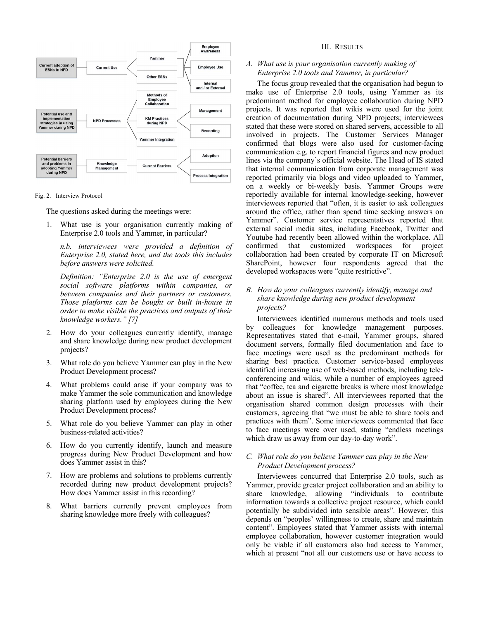

Fig. 2. Interview Protocol

The questions asked during the meetings were:

What use is your organisation currently making of Enterprise 2.0 tools and Yammer, in particular?

*n.b. interviewees were provided a definition of Enterprise 2.0, stated here, and the tools this includes before answers were solicited.*

*Definition: "Enterprise 2.0 is the use of emergent social software platforms within companies, or between companies and their partners or customers. Those platforms can be bought or built in-house in order to make visible the practices and outputs of their knowledge workers." [7]* 

- 2. How do your colleagues currently identify, manage and share knowledge during new product development projects?
- 3. What role do you believe Yammer can play in the New Product Development process?
- 4. What problems could arise if your company was to make Yammer the sole communication and knowledge sharing platform used by employees during the New Product Development process?
- 5. What role do you believe Yammer can play in other business-related activities?
- 6. How do you currently identify, launch and measure progress during New Product Development and how does Yammer assist in this?
- 7. How are problems and solutions to problems currently recorded during new product development projects? How does Yammer assist in this recording?
- 8. What barriers currently prevent employees from sharing knowledge more freely with colleagues?

#### III. RESULTS

# *A. What use is your organisation currently making of Enterprise 2.0 tools and Yammer, in particular?*

The focus group revealed that the organisation had begun to make use of Enterprise 2.0 tools, using Yammer as its predominant method for employee collaboration during NPD projects. It was reported that wikis were used for the joint creation of documentation during NPD projects; interviewees stated that these were stored on shared servers, accessible to all involved in projects. The Customer Services Manager confirmed that blogs were also used for customer-facing communication e.g. to report financial figures and new product lines via the company's official website. The Head of IS stated that internal communication from corporate management was reported primarily via blogs and video uploaded to Yammer, on a weekly or bi-weekly basis. Yammer Groups were reportedly available for internal knowledge-seeking, however interviewees reported that "often, it is easier to ask colleagues around the office, rather than spend time seeking answers on Yammer". Customer service representatives reported that external social media sites, including Facebook, Twitter and Youtube had recently been allowed within the workplace. All confirmed that customized workspaces for project collaboration had been created by corporate IT on Microsoft SharePoint, however four respondents agreed that the developed workspaces were "quite restrictive".

# *B. How do your colleagues currently identify, manage and share knowledge during new product development projects?*

Interviewees identified numerous methods and tools used by colleagues for knowledge management purposes. Representatives stated that e-mail, Yammer groups, shared document servers, formally filed documentation and face to face meetings were used as the predominant methods for sharing best practice. Customer service-based employees identified increasing use of web-based methods, including teleconferencing and wikis, while a number of employees agreed that "coffee, tea and cigarette breaks is where most knowledge about an issue is shared". All interviewees reported that the organisation shared common design processes with their customers, agreeing that "we must be able to share tools and practices with them". Some interviewees commented that face to face meetings were over used, stating "endless meetings which draw us away from our day-to-day work".

#### *C. What role do you believe Yammer can play in the New Product Development process?*

Interviewees concurred that Enterprise 2.0 tools, such as Yammer, provide greater project collaboration and an ability to share knowledge, allowing "individuals to contribute information towards a collective project resource, which could potentially be subdivided into sensible areas". However, this depends on "peoples' willingness to create, share and maintain content". Employees stated that Yammer assists with internal employee collaboration, however customer integration would only be viable if all customers also had access to Yammer, which at present "not all our customers use or have access to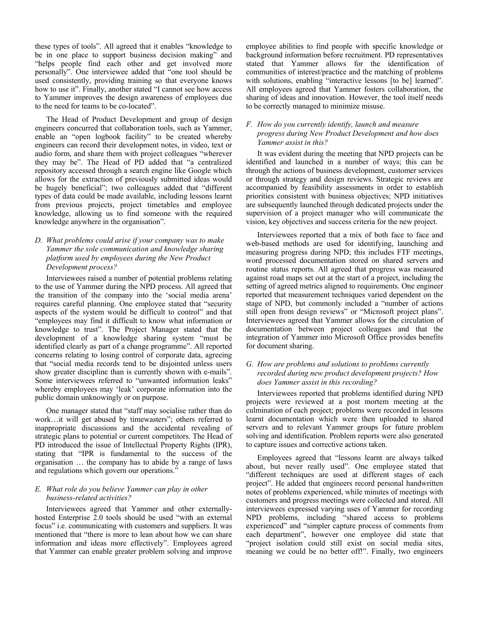these types of tools". All agreed that it enables "knowledge to be in one place to support business decision making" and "helps people find each other and get involved more personally". One interviewee added that "one tool should be used consistently, providing training so that everyone knows how to use it". Finally, another stated "I cannot see how access to Yammer improves the design awareness of employees due to the need for teams to be co-located".

The Head of Product Development and group of design engineers concurred that collaboration tools, such as Yammer, enable an "open logbook facility" to be created whereby engineers can record their development notes, in video, text or audio form, and share them with project colleagues "wherever they may be". The Head of PD added that "a centralized repository accessed through a search engine like Google which allows for the extraction of previously submitted ideas would be hugely beneficial"; two colleagues added that "different types of data could be made available, including lessons learnt from previous projects, project timetables and employee knowledge, allowing us to find someone with the required knowledge anywhere in the organisation".

# *D. What problems could arise if your company was to make Yammer the sole communication and knowledge sharing platform used by employees during the New Product Development process?*

Interviewees raised a number of potential problems relating to the use of Yammer during the NPD process. All agreed that the transition of the company into the 'social media arena' requires careful planning. One employee stated that "security aspects of the system would be difficult to control" and that "employees may find it difficult to know what information or knowledge to trust". The Project Manager stated that the development of a knowledge sharing system "must be identified clearly as part of a change programme". All reported concerns relating to losing control of corporate data, agreeing that "social media records tend to be disjointed unless users show greater discipline than is currently shown with e-mails". Some interviewees referred to "unwanted information leaks" whereby employees may 'leak' corporate information into the public domain unknowingly or on purpose.

One manager stated that "staff may socialise rather than do work…it will get abused by timewasters"; others referred to inappropriate discussions and the accidental revealing of strategic plans to potential or current competitors. The Head of PD introduced the issue of Intellectual Property Rights (IPR), stating that "IPR is fundamental to the success of the organisation … the company has to abide by a range of laws and regulations which govern our operations.'

# *E. What role do you believe Yammer can play in other business-related activities?*

Interviewees agreed that Yammer and other externallyhosted Enterprise 2.0 tools should be used "with an external focus" i.e. communicating with customers and suppliers. It was mentioned that "there is more to lean about how we can share information and ideas more effectively". Employees agreed that Yammer can enable greater problem solving and improve employee abilities to find people with specific knowledge or background information before recruitment. PD representatives stated that Yammer allows for the identification of communities of interest/practice and the matching of problems with solutions, enabling "interactive lessons [to be] learned". All employees agreed that Yammer fosters collaboration, the sharing of ideas and innovation. However, the tool itself needs to be correctly managed to minimize misuse.

### *F. How do you currently identify, launch and measure progress during New Product Development and how does Yammer assist in this?*

It was evident during the meeting that NPD projects can be identified and launched in a number of ways; this can be through the actions of business development, customer services or through strategy and design reviews. Strategic reviews are accompanied by feasibility assessments in order to establish priorities consistent with business objectives; NPD initiatives are subsequently launched through dedicated projects under the supervision of a project manager who will communicate the vision, key objectives and success criteria for the new project.

Interviewees reported that a mix of both face to face and web-based methods are used for identifying, launching and measuring progress during NPD; this includes FTF meetings, word processed documentation stored on shared servers and routine status reports. All agreed that progress was measured against road maps set out at the start of a project, including the setting of agreed metrics aligned to requirements. One engineer reported that measurement techniques varied dependent on the stage of NPD, but commonly included a "number of actions still open from design reviews" or "Microsoft project plans". Interviewees agreed that Yammer allows for the circulation of documentation between project colleagues and that the integration of Yammer into Microsoft Office provides benefits for document sharing.

# *G. How are problems and solutions to problems currently recorded during new product development projects? How does Yammer assist in this recording?*

Interviewees reported that problems identified during NPD projects were reviewed at a post mortem meeting at the culmination of each project; problems were recorded in lessons learnt documentation which were then uploaded to shared servers and to relevant Yammer groups for future problem solving and identification. Problem reports were also generated to capture issues and corrective actions taken.

Employees agreed that "lessons learnt are always talked about, but never really used". One employee stated that "different techniques are used at different stages of each project". He added that engineers record personal handwritten notes of problems experienced, while minutes of meetings with customers and progress meetings were collected and stored. All interviewees expressed varying uses of Yammer for recording NPD problems, including "shared access to problems experienced" and "simpler capture process of comments from each department", however one employee did state that "project isolation could still exist on social media sites, meaning we could be no better off!". Finally, two engineers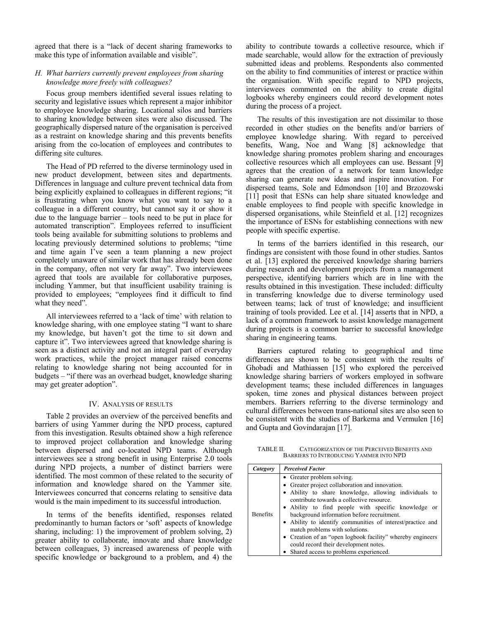agreed that there is a "lack of decent sharing frameworks to make this type of information available and visible".

# *H. What barriers currently prevent employees from sharing knowledge more freely with colleagues?*

Focus group members identified several issues relating to security and legislative issues which represent a major inhibitor to employee knowledge sharing. Locational silos and barriers to sharing knowledge between sites were also discussed. The geographically dispersed nature of the organisation is perceived as a restraint on knowledge sharing and this prevents benefits arising from the co-location of employees and contributes to differing site cultures.

The Head of PD referred to the diverse terminology used in new product development, between sites and departments. Differences in language and culture prevent technical data from being explicitly explained to colleagues in different regions; "it is frustrating when you know what you want to say to a colleague in a different country, but cannot say it or show it due to the language barrier – tools need to be put in place for automated transcription". Employees referred to insufficient tools being available for submitting solutions to problems and locating previously determined solutions to problems; "time and time again I've seen a team planning a new project completely unaware of similar work that has already been done in the company, often not very far away". Two interviewees agreed that tools are available for collaborative purposes, including Yammer, but that insufficient usability training is provided to employees; "employees find it difficult to find what they need".

All interviewees referred to a 'lack of time' with relation to knowledge sharing, with one employee stating "I want to share my knowledge, but haven't got the time to sit down and capture it". Two interviewees agreed that knowledge sharing is seen as a distinct activity and not an integral part of everyday work practices, while the project manager raised concerns relating to knowledge sharing not being accounted for in budgets – "if there was an overhead budget, knowledge sharing may get greater adoption".

#### IV. ANALYSIS OF RESULTS

Table 2 provides an overview of the perceived benefits and barriers of using Yammer during the NPD process, captured from this investigation. Results obtained show a high reference to improved project collaboration and knowledge sharing between dispersed and co-located NPD teams. Although interviewees see a strong benefit in using Enterprise 2.0 tools during NPD projects, a number of distinct barriers were identified. The most common of these related to the security of information and knowledge shared on the Yammer site. Interviewees concurred that concerns relating to sensitive data would is the main impediment to its successful introduction.

In terms of the benefits identified, responses related predominantly to human factors or 'soft' aspects of knowledge sharing, including: 1) the improvement of problem solving, 2) greater ability to collaborate, innovate and share knowledge between colleagues, 3) increased awareness of people with specific knowledge or background to a problem, and 4) the

ability to contribute towards a collective resource, which if made searchable, would allow for the extraction of previously submitted ideas and problems. Respondents also commented on the ability to find communities of interest or practice within the organisation. With specific regard to NPD projects, interviewees commented on the ability to create digital logbooks whereby engineers could record development notes during the process of a project.

The results of this investigation are not dissimilar to those recorded in other studies on the benefits and/or barriers of employee knowledge sharing. With regard to perceived benefits, Wang, Noe and Wang [8] acknowledge that knowledge sharing promotes problem sharing and encourages collective resources which all employees can use. Bessant [9] agrees that the creation of a network for team knowledge sharing can generate new ideas and inspire innovation. For dispersed teams, Sole and Edmondson [10] and Brzozowski [11] posit that ESNs can help share situated knowledge and enable employees to find people with specific knowledge in dispersed organisations, while Steinfield et al. [12] recognizes the importance of ESNs for establishing connections with new people with specific expertise.

In terms of the barriers identified in this research, our findings are consistent with those found in other studies. Santos et al. [13] explored the perceived knowledge sharing barriers during research and development projects from a management perspective, identifying barriers which are in line with the results obtained in this investigation. These included: difficulty in transferring knowledge due to diverse terminology used between teams; lack of trust of knowledge; and insufficient training of tools provided. Lee et al. [14] asserts that in NPD, a lack of a common framework to assist knowledge management during projects is a common barrier to successful knowledge sharing in engineering teams.

Barriers captured relating to geographical and time differences are shown to be consistent with the results of Ghobadi and Mathiassen [15] who explored the perceived knowledge sharing barriers of workers employed in software development teams; these included differences in languages spoken, time zones and physical distances between project members. Barriers referring to the diverse terminology and cultural differences between trans-national sites are also seen to be consistent with the studies of Barkema and Vermulen [16] and Gupta and Govindarajan [17].

TABLE II. CATEGORIZATION OF THE PERCEIVED BENEFITS AND BARRIERS TO INTRODUCING YAMMER INTO NPD

| Category        | <b>Perceived Factor</b>                                                                                                                                                                                                                                                                                                                                                                                                                                                                                                                     |
|-----------------|---------------------------------------------------------------------------------------------------------------------------------------------------------------------------------------------------------------------------------------------------------------------------------------------------------------------------------------------------------------------------------------------------------------------------------------------------------------------------------------------------------------------------------------------|
| <b>Benefits</b> | • Greater problem solving.<br>• Greater project collaboration and innovation.<br>• Ability to share knowledge, allowing individuals to<br>contribute towards a collective resource.<br>• Ability to find people with specific knowledge or<br>background information before recruitment.<br>• Ability to identify communities of interest/practice and<br>match problems with solutions.<br>• Creation of an "open logbook facility" whereby engineers<br>could record their development notes.<br>• Shared access to problems experienced. |